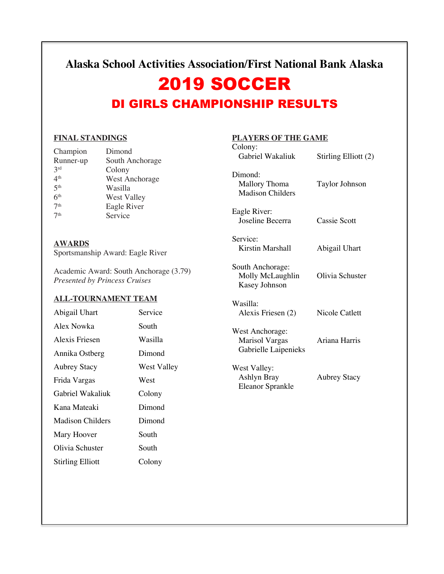## **Alaska School Activities Association/First National Bank Alaska**

# 2019 SOCCER

# DI GIRLS CHAMPIONSHIP RESULTS

Dimond:

Eagle River:

South Anchorage:

Kasey Johnson

Service:

Wasilla:

Madison Childers

## **FINAL STANDINGS**

| Champion        | Dimond                |
|-----------------|-----------------------|
| Runner-up       | South Anchorage       |
| 2rd             | Colony                |
| 4 <sup>th</sup> | <b>West Anchorage</b> |
| 5 <sup>th</sup> | Wasilla               |
| 6 <sup>th</sup> | <b>West Valley</b>    |
| 7 <sup>th</sup> | Eagle River           |
| 7 <sup>th</sup> | Service               |

## **AWARDS**

Sportsmanship Award: Eagle River

Academic Award: South Anchorage (3.79) *Presented by Princess Cruises*

#### **ALL-TOURNAMENT TEAM**

| Abigail Uhart           | Service     | Alexis Friesen (2)                                               | Nicole Catlett      |
|-------------------------|-------------|------------------------------------------------------------------|---------------------|
| Alex Nowka              | South       | West Anchorage:<br><b>Marisol Vargas</b><br>Gabrielle Laipenieks |                     |
| Alexis Friesen          | Wasilla     |                                                                  | Ariana Harris       |
| Annika Ostberg          | Dimond      |                                                                  |                     |
| <b>Aubrey Stacy</b>     | West Valley | West Valley:<br>Ashlyn Bray<br>Eleanor Sprankle                  |                     |
| Frida Vargas            | West        |                                                                  | <b>Aubrey Stacy</b> |
| Gabriel Wakaliuk        | Colony      |                                                                  |                     |
| Kana Mateaki            | Dimond      |                                                                  |                     |
| <b>Madison Childers</b> | Dimond      |                                                                  |                     |
| Mary Hoover             | South       |                                                                  |                     |
| Olivia Schuster         | South       |                                                                  |                     |
| <b>Stirling Elliott</b> | Colony      |                                                                  |                     |

## **PLAYERS OF THE GAME**  Colony:<br>Gabriel Wakaliuk

Mallory Thoma Taylor Johnson

Joseline Becerra Cassie Scott

Kirstin Marshall Abigail Uhart

Molly McLaughlin Olivia Schuster

Stirling Elliott (2)